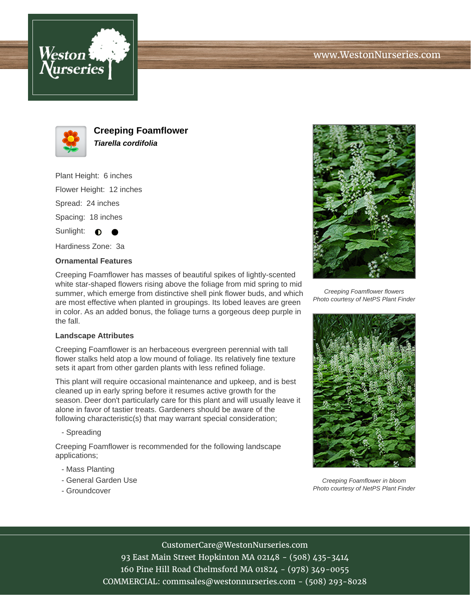





**Creeping Foamflower Tiarella cordifolia**

Plant Height: 6 inches Flower Height: 12 inches Spread: 24 inches Spacing: 18 inches Sunlight:  $\bigcirc$ 

Hardiness Zone: 3a

## **Ornamental Features**

Creeping Foamflower has masses of beautiful spikes of lightly-scented white star-shaped flowers rising above the foliage from mid spring to mid summer, which emerge from distinctive shell pink flower buds, and which are most effective when planted in groupings. Its lobed leaves are green in color. As an added bonus, the foliage turns a gorgeous deep purple in the fall.

## **Landscape Attributes**

Creeping Foamflower is an herbaceous evergreen perennial with tall flower stalks held atop a low mound of foliage. Its relatively fine texture sets it apart from other garden plants with less refined foliage.

This plant will require occasional maintenance and upkeep, and is best cleaned up in early spring before it resumes active growth for the season. Deer don't particularly care for this plant and will usually leave it alone in favor of tastier treats. Gardeners should be aware of the following characteristic(s) that may warrant special consideration;

- Spreading

Creeping Foamflower is recommended for the following landscape applications;

- Mass Planting
- General Garden Use
- Groundcover



Creeping Foamflower flowers Photo courtesy of NetPS Plant Finder



Creeping Foamflower in bloom Photo courtesy of NetPS Plant Finder

## CustomerCare@WestonNurseries.com

93 East Main Street Hopkinton MA 02148 - (508) 435-3414 160 Pine Hill Road Chelmsford MA 01824 - (978) 349-0055 COMMERCIAL: commsales@westonnurseries.com - (508) 293-8028